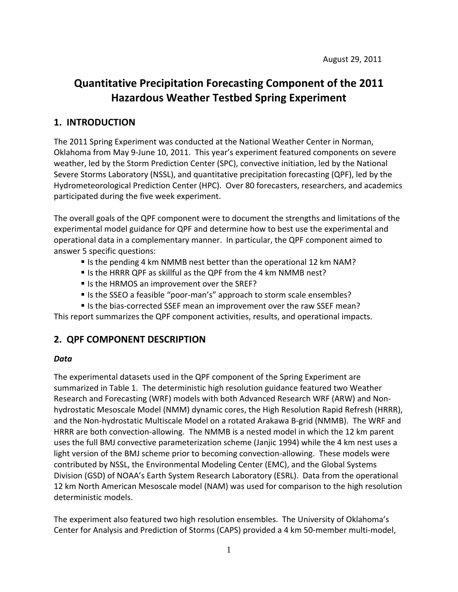# **Quantitative Precipitation Forecasting Component of the 2011 Hazardous Weather Testbed Spring Experiment**

# **1. INTRODUCTION**

The 2011 Spring Experiment was conducted at the National Weather Center in Norman, Oklahoma from May 9‐June 10, 2011. This year's experiment featured components on severe weather, led by the Storm Prediction Center (SPC), convective initiation, led by the National Severe Storms Laboratory (NSSL), and quantitative precipitation forecasting (QPF), led by the Hydrometeorological Prediction Center (HPC). Over 80 forecasters, researchers, and academics participated during the five week experiment.

The overall goals of the QPF component were to document the strengths and limitations of the experimental model guidance for QPF and determine how to best use the experimental and operational data in a complementary manner. In particular, the QPF component aimed to answer 5 specific questions:

- Is the pending 4 km NMMB nest better than the operational 12 km NAM?
- Is the HRRR QPF as skillful as the QPF from the 4 km NMMB nest?
- Is the HRMOS an improvement over the SREF?
- Is the SSEO a feasible "poor-man's" approach to storm scale ensembles?
- Is the bias-corrected SSEF mean an improvement over the raw SSEF mean?

This report summarizes the QPF component activities, results, and operational impacts.

# **2. QPF COMPONENT DESCRIPTION**

### *Data*

The experimental datasets used in the QPF component of the Spring Experiment are summarized in Table 1. The deterministic high resolution guidance featured two Weather Research and Forecasting (WRF) models with both Advanced Research WRF (ARW) and Non‐ hydrostatic Mesoscale Model (NMM) dynamic cores, the High Resolution Rapid Refresh (HRRR), and the Non‐hydrostatic Multiscale Model on a rotated Arakawa B‐grid (NMMB). The WRF and HRRR are both convection-allowing. The NMMB is a nested model in which the 12 km parent uses the full BMJ convective parameterization scheme (Janjic 1994) while the 4 km nest uses a light version of the BMJ scheme prior to becoming convection-allowing. These models were contributed by NSSL, the Environmental Modeling Center (EMC), and the Global Systems Division (GSD) of NOAA's Earth System Research Laboratory (ESRL). Data from the operational 12 km North American Mesoscale model (NAM) was used for comparison to the high resolution deterministic models.

The experiment also featured two high resolution ensembles. The University of Oklahoma's Center for Analysis and Prediction of Storms (CAPS) provided a 4 km 50‐member multi‐model,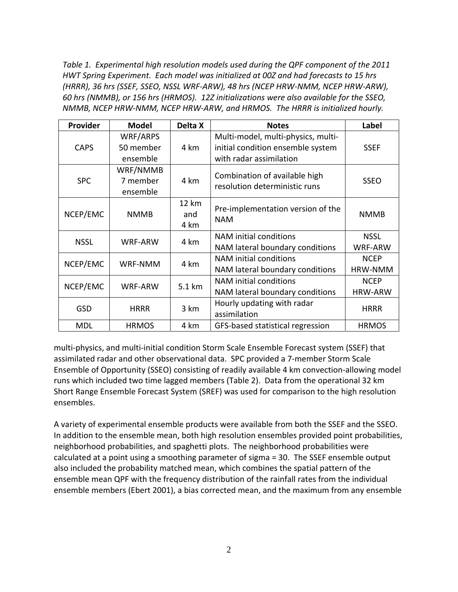*Table 1. Experimental high resolution models used during the QPF component of the 2011 HWT Spring Experiment. Each model was initialized at 00Z and had forecasts to 15 hrs (HRRR), 36 hrs (SSEF, SSEO, NSSL WRF‐ARW), 48 hrs (NCEP HRW‐NMM, NCEP HRW‐ARW), 60 hrs (NMMB), or 156 hrs (HRMOS). 12Z initializations were also available for the SSEO, NMMB, NCEP HRW‐NMM, NCEP HRW‐ARW, and HRMOS. The HRRR is initialized hourly.*

| Provider    | <b>Model</b>                      | Delta X                     | <b>Notes</b>                                                                                       | <b>Label</b>                  |  |
|-------------|-----------------------------------|-----------------------------|----------------------------------------------------------------------------------------------------|-------------------------------|--|
| <b>CAPS</b> | WRF/ARPS<br>50 member<br>ensemble | 4 km                        | Multi-model, multi-physics, multi-<br>initial condition ensemble system<br>with radar assimilation | <b>SSEF</b>                   |  |
| <b>SPC</b>  | WRF/NMMB<br>7 member<br>ensemble  | 4 km                        | Combination of available high<br>resolution deterministic runs                                     | <b>SSEO</b>                   |  |
| NCEP/EMC    | <b>NMMB</b>                       | <b>12 km</b><br>and<br>4 km | Pre-implementation version of the<br><b>NAM</b>                                                    | <b>NMMB</b>                   |  |
| <b>NSSL</b> | WRF-ARW                           | 4 km                        | NAM initial conditions<br>NAM lateral boundary conditions                                          | <b>NSSL</b><br>WRF-ARW        |  |
| NCEP/EMC    | WRF-NMM                           | 4 km                        | NAM initial conditions<br>NAM lateral boundary conditions                                          | <b>NCEP</b><br>HRW-NMM        |  |
| NCEP/EMC    | <b>WRF-ARW</b>                    | 5.1 km                      | NAM initial conditions<br>NAM lateral boundary conditions                                          | <b>NCEP</b><br><b>HRW-ARW</b> |  |
| <b>GSD</b>  | <b>HRRR</b>                       | 3 km                        | Hourly updating with radar<br>assimilation                                                         | <b>HRRR</b>                   |  |
| <b>MDL</b>  | <b>HRMOS</b>                      | 4 km                        | GFS-based statistical regression                                                                   | <b>HRMOS</b>                  |  |

multi‐physics, and multi‐initial condition Storm Scale Ensemble Forecast system (SSEF) that assimilated radar and other observational data. SPC provided a 7‐member Storm Scale Ensemble of Opportunity (SSEO) consisting of readily available 4 km convection-allowing model runs which included two time lagged members (Table 2). Data from the operational 32 km Short Range Ensemble Forecast System (SREF) was used for comparison to the high resolution ensembles.

A variety of experimental ensemble products were available from both the SSEF and the SSEO. In addition to the ensemble mean, both high resolution ensembles provided point probabilities, neighborhood probabilities, and spaghetti plots. The neighborhood probabilities were calculated at a point using a smoothing parameter of sigma = 30. The SSEF ensemble output also included the probability matched mean, which combines the spatial pattern of the ensemble mean QPF with the frequency distribution of the rainfall rates from the individual ensemble members (Ebert 2001), a bias corrected mean, and the maximum from any ensemble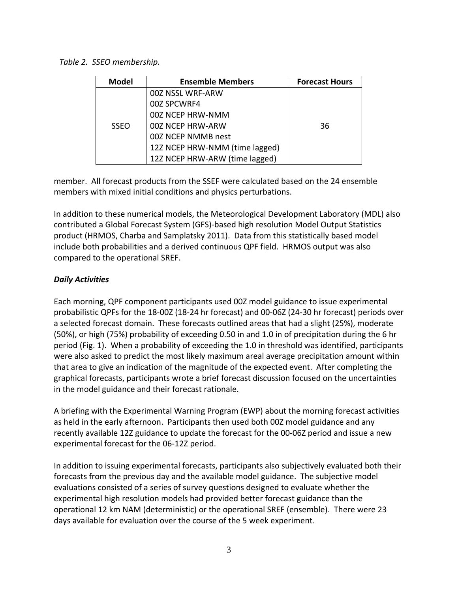*Table 2. SSEO membership.*

| <b>Model</b> | <b>Ensemble Members</b>        | <b>Forecast Hours</b> |
|--------------|--------------------------------|-----------------------|
|              | 00Z NSSL WRF-ARW               |                       |
|              | 00Z SPCWRF4                    |                       |
|              | 00Z NCEP HRW-NMM               |                       |
| <b>SSEO</b>  | 00Z NCEP HRW-ARW               | 36                    |
|              | 00Z NCEP NMMB nest             |                       |
|              | 12Z NCEP HRW-NMM (time lagged) |                       |
|              | 12Z NCEP HRW-ARW (time lagged) |                       |

member. All forecast products from the SSEF were calculated based on the 24 ensemble members with mixed initial conditions and physics perturbations.

In addition to these numerical models, the Meteorological Development Laboratory (MDL) also contributed a Global Forecast System (GFS)‐based high resolution Model Output Statistics product (HRMOS, Charba and Samplatsky 2011). Data from this statistically based model include both probabilities and a derived continuous QPF field. HRMOS output was also compared to the operational SREF.

### *Daily Activities*

Each morning, QPF component participants used 00Z model guidance to issue experimental probabilistic QPFs for the 18‐00Z (18‐24 hr forecast) and 00‐06Z (24‐30 hr forecast) periods over a selected forecast domain. These forecasts outlined areas that had a slight (25%), moderate (50%), or high (75%) probability of exceeding 0.50 in and 1.0 in of precipitation during the 6 hr period (Fig. 1). When a probability of exceeding the 1.0 in threshold was identified, participants were also asked to predict the most likely maximum areal average precipitation amount within that area to give an indication of the magnitude of the expected event. After completing the graphical forecasts, participants wrote a brief forecast discussion focused on the uncertainties in the model guidance and their forecast rationale.

A briefing with the Experimental Warning Program (EWP) about the morning forecast activities as held in the early afternoon. Participants then used both 00Z model guidance and any recently available 12Z guidance to update the forecast for the 00‐06Z period and issue a new experimental forecast for the 06‐12Z period.

In addition to issuing experimental forecasts, participants also subjectively evaluated both their forecasts from the previous day and the available model guidance. The subjective model evaluations consisted of a series of survey questions designed to evaluate whether the experimental high resolution models had provided better forecast guidance than the operational 12 km NAM (deterministic) or the operational SREF (ensemble). There were 23 days available for evaluation over the course of the 5 week experiment.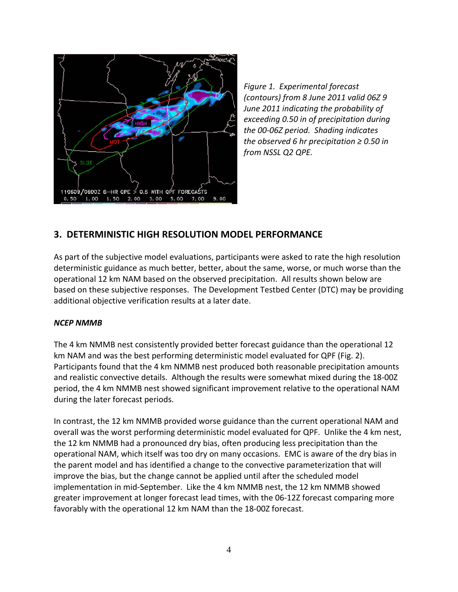

*Figure 1. Experimental forecast (contours) from 8 June 2011 valid 06Z 9 June 2011 indicating the probability of exceeding 0.50 in of precipitation during the 00‐06Z period. Shading indicates the observed 6 hr precipitation ≥ 0.50 in from NSSL Q2 QPE.*

# **3. DETERMINISTIC HIGH RESOLUTION MODEL PERFORMANCE**

As part of the subjective model evaluations, participants were asked to rate the high resolution deterministic guidance as much better, better, about the same, worse, or much worse than the operational 12 km NAM based on the observed precipitation. All results shown below are based on these subjective responses. The Development Testbed Center (DTC) may be providing additional objective verification results at a later date.

### *NCEP NMMB*

The 4 km NMMB nest consistently provided better forecast guidance than the operational 12 km NAM and was the best performing deterministic model evaluated for QPF (Fig. 2). Participants found that the 4 km NMMB nest produced both reasonable precipitation amounts and realistic convective details. Although the results were somewhat mixed during the 18‐00Z period, the 4 km NMMB nest showed significant improvement relative to the operational NAM during the later forecast periods.

In contrast, the 12 km NMMB provided worse guidance than the current operational NAM and overall was the worst performing deterministic model evaluated for QPF. Unlike the 4 km nest, the 12 km NMMB had a pronounced dry bias, often producing less precipitation than the operational NAM, which itself was too dry on many occasions. EMC is aware of the dry bias in the parent model and has identified a change to the convective parameterization that will improve the bias, but the change cannot be applied until after the scheduled model implementation in mid‐September. Like the 4 km NMMB nest, the 12 km NMMB showed greater improvement at longer forecast lead times, with the 06‐12Z forecast comparing more favorably with the operational 12 km NAM than the 18‐00Z forecast.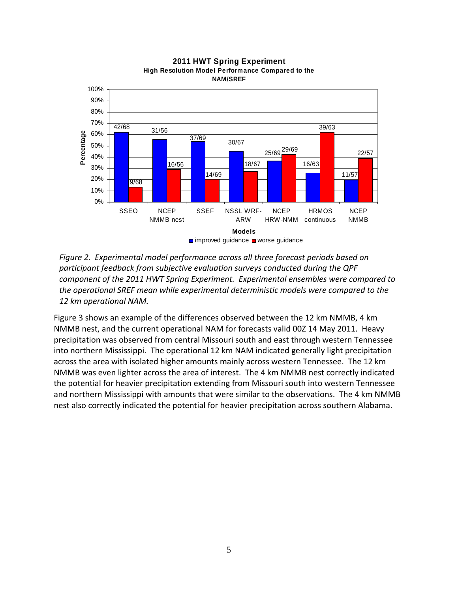

**2011 HWT Spring Experiment High Resolution Model Performance Compared to the NAM/SREF**

*Figure 2. Experimental model performance across all three forecast periods based on participant feedback from subjective evaluation surveys conducted during the QPF component of the 2011 HWT Spring Experiment. Experimental ensembles were compared to the operational SREF mean while experimental deterministic models were compared to the 12 km operational NAM.*

Figure 3 shows an example of the differences observed between the 12 km NMMB, 4 km NMMB nest, and the current operational NAM for forecasts valid 00Z 14 May 2011. Heavy precipitation was observed from central Missouri south and east through western Tennessee into northern Mississippi. The operational 12 km NAM indicated generally light precipitation across the area with isolated higher amounts mainly across western Tennessee. The 12 km NMMB was even lighter across the area of interest. The 4 km NMMB nest correctly indicated the potential for heavier precipitation extending from Missouri south into western Tennessee and northern Mississippi with amounts that were similar to the observations. The 4 km NMMB nest also correctly indicated the potential for heavier precipitation across southern Alabama.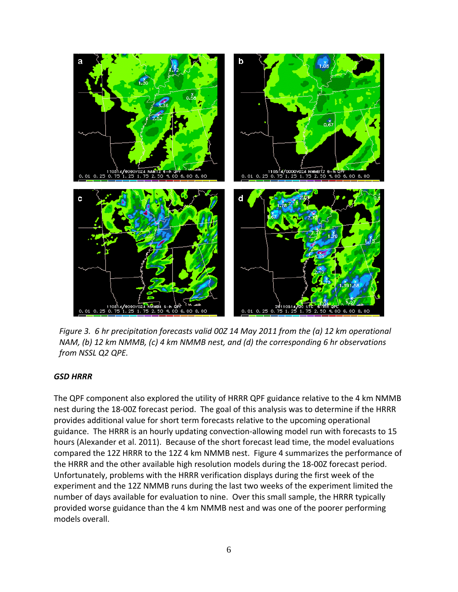

*Figure 3. 6 hr precipitation forecasts valid 00Z 14 May 2011 from the (a) 12 km operational NAM, (b) 12 km NMMB, (c) 4 km NMMB nest, and (d) the corresponding 6 hr observations from NSSL Q2 QPE.*

### *GSD HRRR*

The QPF component also explored the utility of HRRR QPF guidance relative to the 4 km NMMB nest during the 18‐00Z forecast period. The goal of this analysis was to determine if the HRRR provides additional value for short term forecasts relative to the upcoming operational guidance. The HRRR is an hourly updating convection‐allowing model run with forecasts to 15 hours (Alexander et al. 2011). Because of the short forecast lead time, the model evaluations compared the 12Z HRRR to the 12Z 4 km NMMB nest. Figure 4 summarizes the performance of the HRRR and the other available high resolution models during the 18‐00Z forecast period. Unfortunately, problems with the HRRR verification displays during the first week of the experiment and the 12Z NMMB runs during the last two weeks of the experiment limited the number of days available for evaluation to nine. Over this small sample, the HRRR typically provided worse guidance than the 4 km NMMB nest and was one of the poorer performing models overall.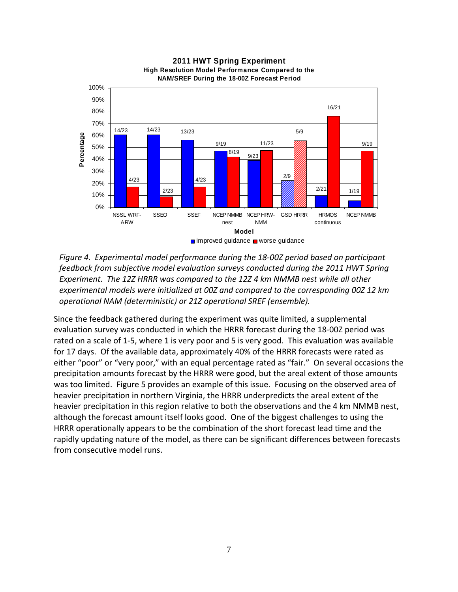

**2011 HWT Spring Experiment High Resolution Model Performance Compared to the NAM/SREF During the 18-00Z Forecast Period**

*Figure 4. Experimental model performance during the 18‐00Z period based on participant feedback from subjective model evaluation surveys conducted during the 2011 HWT Spring Experiment. The 12Z HRRR was compared to the 12Z 4 km NMMB nest while all other experimental models were initialized at 00Z and compared to the corresponding 00Z 12 km operational NAM (deterministic) or 21Z operational SREF (ensemble).*

Since the feedback gathered during the experiment was quite limited, a supplemental evaluation survey was conducted in which the HRRR forecast during the 18‐00Z period was rated on a scale of 1‐5, where 1 is very poor and 5 is very good. This evaluation was available for 17 days. Of the available data, approximately 40% of the HRRR forecasts were rated as either "poor" or "very poor," with an equal percentage rated as "fair." On several occasions the precipitation amounts forecast by the HRRR were good, but the areal extent of those amounts was too limited. Figure 5 provides an example of this issue. Focusing on the observed area of heavier precipitation in northern Virginia, the HRRR underpredicts the areal extent of the heavier precipitation in this region relative to both the observations and the 4 km NMMB nest, although the forecast amount itself looks good. One of the biggest challenges to using the HRRR operationally appears to be the combination of the short forecast lead time and the rapidly updating nature of the model, as there can be significant differences between forecasts from consecutive model runs.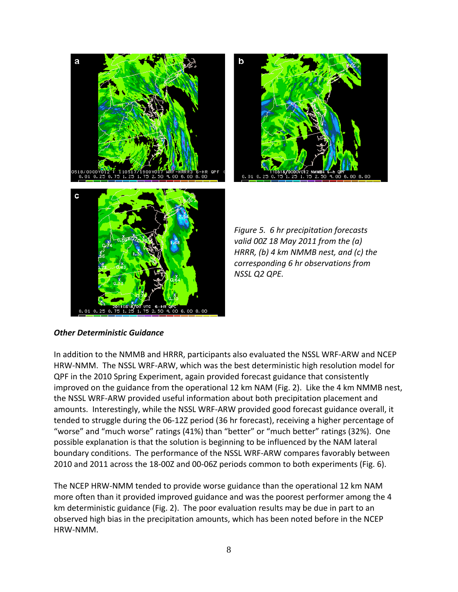

b

*Figure 5. 6 hr precipitation forecasts valid 00Z 18 May 2011 from the (a) HRRR, (b) 4 km NMMB nest, and (c) the corresponding 6 hr observations from NSSL Q2 QPE.*

#### *Other Deterministic Guidance*

In addition to the NMMB and HRRR, participants also evaluated the NSSL WRF‐ARW and NCEP HRW‐NMM. The NSSL WRF‐ARW, which was the best deterministic high resolution model for QPF in the 2010 Spring Experiment, again provided forecast guidance that consistently improved on the guidance from the operational 12 km NAM (Fig. 2). Like the 4 km NMMB nest, the NSSL WRF‐ARW provided useful information about both precipitation placement and amounts. Interestingly, while the NSSL WRF‐ARW provided good forecast guidance overall, it tended to struggle during the 06‐12Z period (36 hr forecast), receiving a higher percentage of "worse" and "much worse" ratings (41%) than "better" or "much better" ratings (32%). One possible explanation is that the solution is beginning to be influenced by the NAM lateral boundary conditions. The performance of the NSSL WRF‐ARW compares favorably between 2010 and 2011 across the 18‐00Z and 00‐06Z periods common to both experiments (Fig. 6).

The NCEP HRW‐NMM tended to provide worse guidance than the operational 12 km NAM more often than it provided improved guidance and was the poorest performer among the 4 km deterministic guidance (Fig. 2). The poor evaluation results may be due in part to an observed high bias in the precipitation amounts, which has been noted before in the NCEP HRW‐NMM.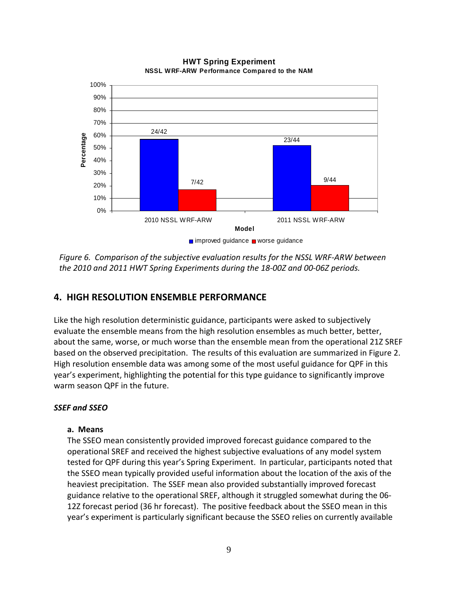

**HWT Spring Experiment NSSL WRF-ARW Performance Compared to the NAM**

*Figure 6. Comparison of the subjective evaluation results for the NSSL WRF‐ARW between the 2010 and 2011 HWT Spring Experiments during the 18‐00Z and 00‐06Z periods.*

# **4. HIGH RESOLUTION ENSEMBLE PERFORMANCE**

Like the high resolution deterministic guidance, participants were asked to subjectively evaluate the ensemble means from the high resolution ensembles as much better, better, about the same, worse, or much worse than the ensemble mean from the operational 21Z SREF based on the observed precipitation. The results of this evaluation are summarized in Figure 2. High resolution ensemble data was among some of the most useful guidance for QPF in this year's experiment, highlighting the potential for this type guidance to significantly improve warm season QPF in the future.

#### *SSEF and SSEO*

#### **a. Means**

The SSEO mean consistently provided improved forecast guidance compared to the operational SREF and received the highest subjective evaluations of any model system tested for QPF during this year's Spring Experiment. In particular, participants noted that the SSEO mean typically provided useful information about the location of the axis of the heaviest precipitation. The SSEF mean also provided substantially improved forecast guidance relative to the operational SREF, although it struggled somewhat during the 06‐ 12Z forecast period (36 hr forecast). The positive feedback about the SSEO mean in this year's experiment is particularly significant because the SSEO relies on currently available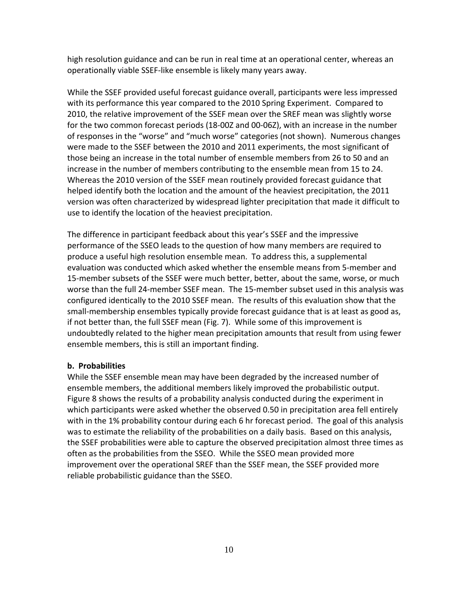high resolution guidance and can be run in real time at an operational center, whereas an operationally viable SSEF‐like ensemble is likely many years away.

While the SSEF provided useful forecast guidance overall, participants were less impressed with its performance this year compared to the 2010 Spring Experiment. Compared to 2010, the relative improvement of the SSEF mean over the SREF mean was slightly worse for the two common forecast periods (18‐00Z and 00‐06Z), with an increase in the number of responses in the "worse" and "much worse" categories (not shown). Numerous changes were made to the SSEF between the 2010 and 2011 experiments, the most significant of those being an increase in the total number of ensemble members from 26 to 50 and an increase in the number of members contributing to the ensemble mean from 15 to 24. Whereas the 2010 version of the SSEF mean routinely provided forecast guidance that helped identify both the location and the amount of the heaviest precipitation, the 2011 version was often characterized by widespread lighter precipitation that made it difficult to use to identify the location of the heaviest precipitation.

The difference in participant feedback about this year's SSEF and the impressive performance of the SSEO leads to the question of how many members are required to produce a useful high resolution ensemble mean. To address this, a supplemental evaluation was conducted which asked whether the ensemble means from 5‐member and 15-member subsets of the SSEF were much better, better, about the same, worse, or much worse than the full 24‐member SSEF mean. The 15‐member subset used in this analysis was configured identically to the 2010 SSEF mean. The results of this evaluation show that the small‐membership ensembles typically provide forecast guidance that is at least as good as, if not better than, the full SSEF mean (Fig. 7). While some of this improvement is undoubtedly related to the higher mean precipitation amounts that result from using fewer ensemble members, this is still an important finding.

### **b. Probabilities**

While the SSEF ensemble mean may have been degraded by the increased number of ensemble members, the additional members likely improved the probabilistic output. Figure 8 shows the results of a probability analysis conducted during the experiment in which participants were asked whether the observed 0.50 in precipitation area fell entirely with in the 1% probability contour during each 6 hr forecast period. The goal of this analysis was to estimate the reliability of the probabilities on a daily basis. Based on this analysis, the SSEF probabilities were able to capture the observed precipitation almost three times as often as the probabilities from the SSEO. While the SSEO mean provided more improvement over the operational SREF than the SSEF mean, the SSEF provided more reliable probabilistic guidance than the SSEO.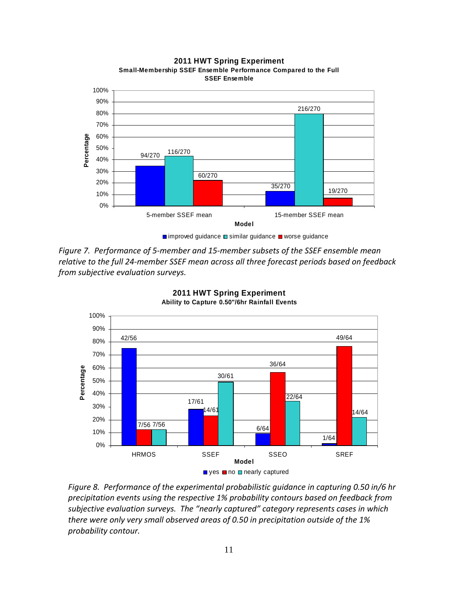

**2011 HWT Spring Experiment Small-Membership SSEF Ensemble Performance Compared to the Full SSEF Ensemble**

*Figure 7. Performance of 5‐member and 15‐member subsets of the SSEF ensemble mean relative to the full 24‐member SSEF mean across all three forecast periods based on feedback from subjective evaluation surveys.* 



**2011 HWT Spring Experiment Ability to Capture 0.50"/6hr Rainfall Events**

*Figure 8. Performance of the experimental probabilistic guidance in capturing 0.50 in/6 hr precipitation events using the respective 1% probability contours based on feedback from subjective evaluation surveys. The "nearly captured" category represents cases in which there were only very small observed areas of 0.50 in precipitation outside of the 1% probability contour.*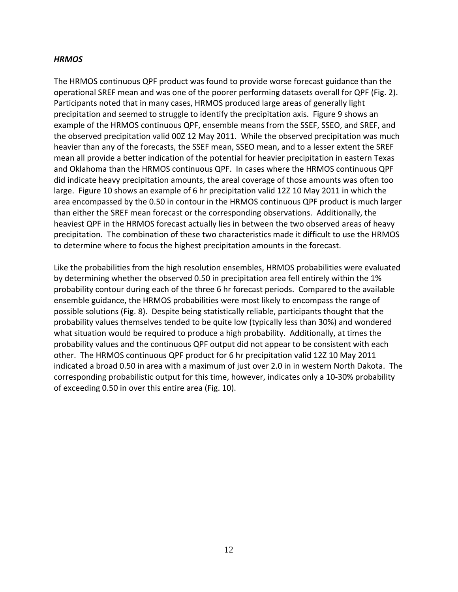#### *HRMOS*

The HRMOS continuous QPF product was found to provide worse forecast guidance than the operational SREF mean and was one of the poorer performing datasets overall for QPF (Fig. 2). Participants noted that in many cases, HRMOS produced large areas of generally light precipitation and seemed to struggle to identify the precipitation axis. Figure 9 shows an example of the HRMOS continuous QPF, ensemble means from the SSEF, SSEO, and SREF, and the observed precipitation valid 00Z 12 May 2011. While the observed precipitation was much heavier than any of the forecasts, the SSEF mean, SSEO mean, and to a lesser extent the SREF mean all provide a better indication of the potential for heavier precipitation in eastern Texas and Oklahoma than the HRMOS continuous QPF. In cases where the HRMOS continuous QPF did indicate heavy precipitation amounts, the areal coverage of those amounts was often too large. Figure 10 shows an example of 6 hr precipitation valid 12Z 10 May 2011 in which the area encompassed by the 0.50 in contour in the HRMOS continuous QPF product is much larger than either the SREF mean forecast or the corresponding observations. Additionally, the heaviest QPF in the HRMOS forecast actually lies in between the two observed areas of heavy precipitation. The combination of these two characteristics made it difficult to use the HRMOS to determine where to focus the highest precipitation amounts in the forecast.

Like the probabilities from the high resolution ensembles, HRMOS probabilities were evaluated by determining whether the observed 0.50 in precipitation area fell entirely within the 1% probability contour during each of the three 6 hr forecast periods. Compared to the available ensemble guidance, the HRMOS probabilities were most likely to encompass the range of possible solutions (Fig. 8). Despite being statistically reliable, participants thought that the probability values themselves tended to be quite low (typically less than 30%) and wondered what situation would be required to produce a high probability. Additionally, at times the probability values and the continuous QPF output did not appear to be consistent with each other. The HRMOS continuous QPF product for 6 hr precipitation valid 12Z 10 May 2011 indicated a broad 0.50 in area with a maximum of just over 2.0 in in western North Dakota. The corresponding probabilistic output for this time, however, indicates only a 10‐30% probability of exceeding 0.50 in over this entire area (Fig. 10).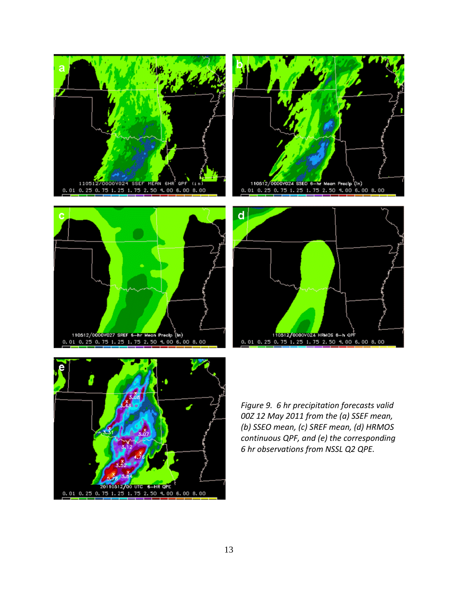









*Figure 9. 6 hr precipitation forecasts valid 00Z 12 May 2011 from the (a) SSEF mean, (b) SSEO mean, (c) SREF mean, (d) HRMOS continuous QPF, and (e) the corresponding 6 hr observations from NSSL Q2 QPE.*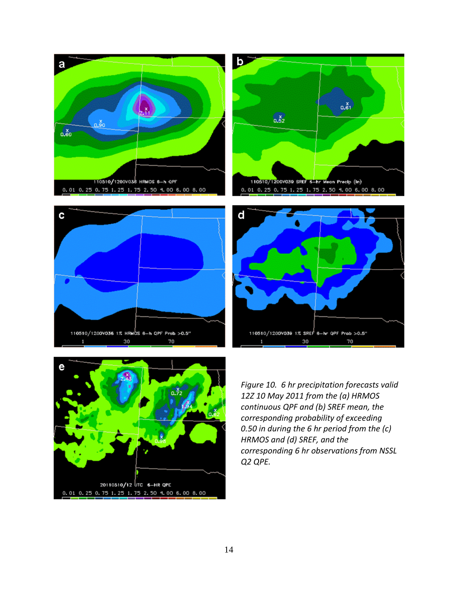









*Figure 10. 6 hr precipitation forecasts valid 12Z 10 May 2011 from the (a) HRMOS continuous QPF and (b) SREF mean, the corresponding probability of exceeding 0.50 in during the 6 hr period from the (c) HRMOS and (d) SREF, and the corresponding 6 hr observations from NSSL Q2 QPE.*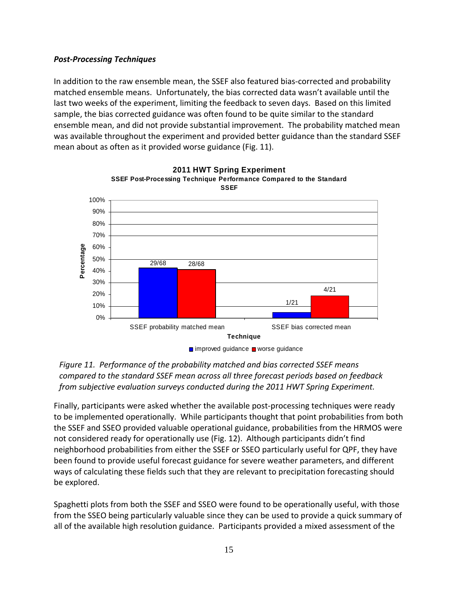### *Post‐Processing Techniques*

In addition to the raw ensemble mean, the SSEF also featured bias‐corrected and probability matched ensemble means. Unfortunately, the bias corrected data wasn't available until the last two weeks of the experiment, limiting the feedback to seven days. Based on this limited sample, the bias corrected guidance was often found to be quite similar to the standard ensemble mean, and did not provide substantial improvement. The probability matched mean was available throughout the experiment and provided better guidance than the standard SSEF mean about as often as it provided worse guidance (Fig. 11).







Finally, participants were asked whether the available post‐processing techniques were ready to be implemented operationally. While participants thought that point probabilities from both the SSEF and SSEO provided valuable operational guidance, probabilities from the HRMOS were not considered ready for operationally use (Fig. 12). Although participants didn't find neighborhood probabilities from either the SSEF or SSEO particularly useful for QPF, they have been found to provide useful forecast guidance for severe weather parameters, and different ways of calculating these fields such that they are relevant to precipitation forecasting should be explored.

Spaghetti plots from both the SSEF and SSEO were found to be operationally useful, with those from the SSEO being particularly valuable since they can be used to provide a quick summary of all of the available high resolution guidance. Participants provided a mixed assessment of the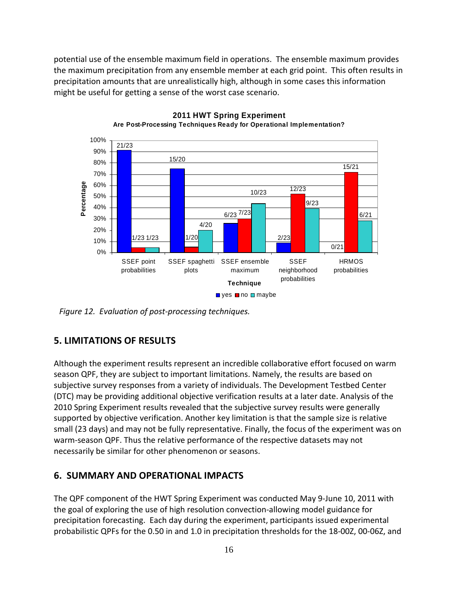potential use of the ensemble maximum field in operations. The ensemble maximum provides the maximum precipitation from any ensemble member at each grid point. This often results in precipitation amounts that are unrealistically high, although in some cases this information might be useful for getting a sense of the worst case scenario.



**2011 HWT Spring Experiment Are Post-Processing Techniques Ready for Operational Implementation?**

*Figure 12. Evaluation of post‐processing techniques.*

# **5. LIMITATIONS OF RESULTS**

Although the experiment results represent an incredible collaborative effort focused on warm season QPF, they are subject to important limitations. Namely, the results are based on subjective survey responses from a variety of individuals. The Development Testbed Center (DTC) may be providing additional objective verification results at a later date. Analysis of the 2010 Spring Experiment results revealed that the subjective survey results were generally supported by objective verification. Another key limitation is that the sample size is relative small (23 days) and may not be fully representative. Finally, the focus of the experiment was on warm‐season QPF. Thus the relative performance of the respective datasets may not necessarily be similar for other phenomenon or seasons.

# **6. SUMMARY AND OPERATIONAL IMPACTS**

The QPF component of the HWT Spring Experiment was conducted May 9‐June 10, 2011 with the goal of exploring the use of high resolution convection‐allowing model guidance for precipitation forecasting. Each day during the experiment, participants issued experimental probabilistic QPFs for the 0.50 in and 1.0 in precipitation thresholds for the 18‐00Z, 00‐06Z, and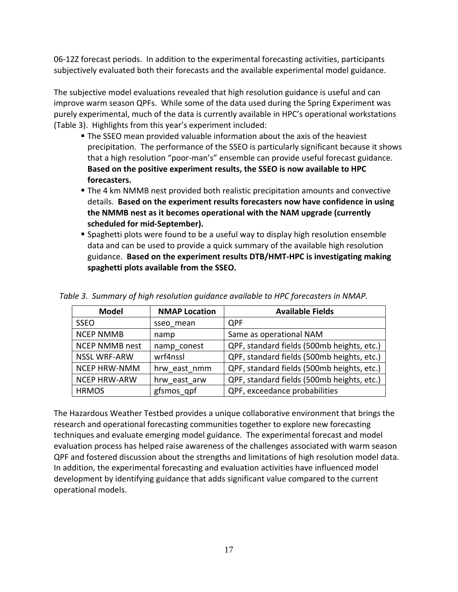06‐12Z forecast periods. In addition to the experimental forecasting activities, participants subjectively evaluated both their forecasts and the available experimental model guidance.

The subjective model evaluations revealed that high resolution guidance is useful and can improve warm season QPFs. While some of the data used during the Spring Experiment was purely experimental, much of the data is currently available in HPC's operational workstations (Table 3). Highlights from this year's experiment included:

- The SSEO mean provided valuable information about the axis of the heaviest precipitation. The performance of the SSEO is particularly significant because it shows that a high resolution "poor‐man's" ensemble can provide useful forecast guidance. **Based on the positive experiment results, the SSEO is now available to HPC forecasters.**
- The 4 km NMMB nest provided both realistic precipitation amounts and convective details. **Based on the experiment results forecasters now have confidence in using the NMMB nest as it becomes operational with the NAM upgrade (currently scheduled for mid‐September).**
- Spaghetti plots were found to be a useful way to display high resolution ensemble data and can be used to provide a quick summary of the available high resolution guidance. **Based on the experiment results DTB/HMT‐HPC is investigating making spaghetti plots available from the SSEO.**

| <b>Model</b>          | <b>NMAP Location</b> | <b>Available Fields</b>                    |
|-----------------------|----------------------|--------------------------------------------|
| <b>SSEO</b>           | sseo mean            | <b>QPF</b>                                 |
| <b>NCEP NMMB</b>      | namp                 | Same as operational NAM                    |
| <b>NCEP NMMB nest</b> | namp conest          | QPF, standard fields (500mb heights, etc.) |
| <b>NSSL WRF-ARW</b>   | wrf4nssl             | QPF, standard fields (500mb heights, etc.) |
| <b>NCEP HRW-NMM</b>   | hrw east nmm         | QPF, standard fields (500mb heights, etc.) |
| <b>NCEP HRW-ARW</b>   | hrw east arw         | QPF, standard fields (500mb heights, etc.) |
| <b>HRMOS</b>          | gfsmos qpf           | QPF, exceedance probabilities              |

*Table 3. Summary of high resolution guidance available to HPC forecasters in NMAP.*

The Hazardous Weather Testbed provides a unique collaborative environment that brings the research and operational forecasting communities together to explore new forecasting techniques and evaluate emerging model guidance. The experimental forecast and model evaluation process has helped raise awareness of the challenges associated with warm season QPF and fostered discussion about the strengths and limitations of high resolution model data. In addition, the experimental forecasting and evaluation activities have influenced model development by identifying guidance that adds significant value compared to the current operational models.